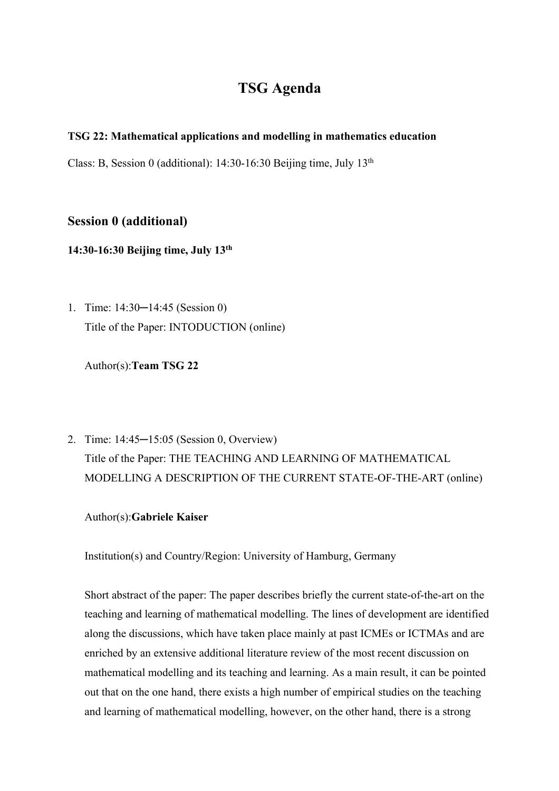## **TSG Agenda**

## **TSG 22: Mathematical applications and modelling in mathematics education**

Class: B, Session 0 (additional):  $14:30-16:30$  Beijing time, July  $13<sup>th</sup>$ 

## **Session 0 (additional)**

**14:30-16:30 Beijing time, July 13th**

1. Time: 14:30–14:45 (Session 0) Title of the Paper: INTODUCTION (online)

Author(s):**Team TSG 22**

2. Time: 14:45─15:05 (Session 0, Overview) Title of the Paper: THE TEACHING AND LEARNING OF MATHEMATICAL MODELLING A DESCRIPTION OF THE CURRENT STATE-OF-THE-ART (online)

Author(s):**Gabriele Kaiser**

Institution(s) and Country/Region: University of Hamburg, Germany

Short abstract of the paper: The paper describes briefly the current state-of-the-art on the teaching and learning of mathematical modelling. The lines of development are identified along the discussions, which have taken place mainly at past ICMEs or ICTMAs and are enriched by an extensive additional literature review of the most recent discussion on mathematical modelling and its teaching and learning. As a main result, it can be pointed out that on the one hand, there exists a high number of empirical studies on the teaching and learning of mathematical modelling, however, on the other hand, there is a strong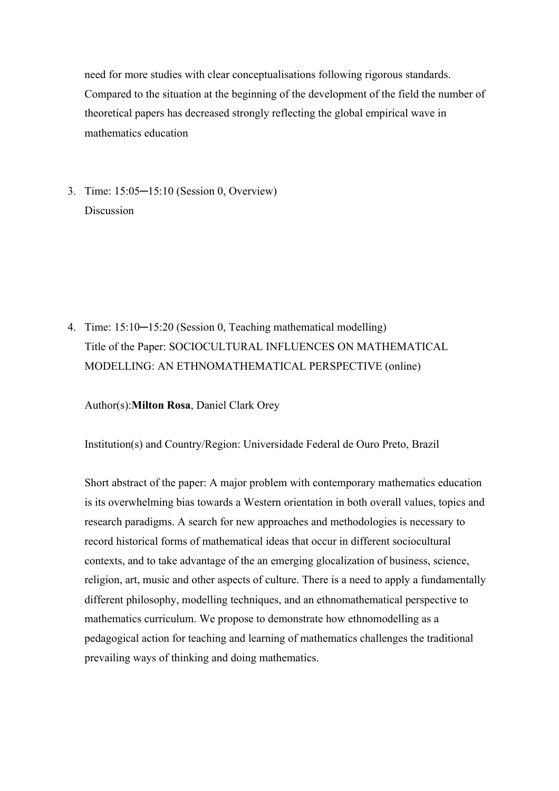need for more studies with clear conceptualisations following rigorous standards. Compared to the situation at the beginning of the development of the field the number of theoretical papers has decreased strongly reflecting the global empirical wave in mathematics education

3. Time: 15:05─15:10 (Session 0, Overview) Discussion

4. Time: 15:10─15:20 (Session 0, Teaching mathematical modelling) Title of the Paper: SOCIOCULTURAL INFLUENCES ON MATHEMATICAL MODELLING: AN ETHNOMATHEMATICAL PERSPECTIVE (online)

#### Author(s):**Milton Rosa**, Daniel Clark Orey

Institution(s) and Country/Region: Universidade Federal de Ouro Preto, Brazil

Short abstract of the paper: A major problem with contemporary mathematics education is its overwhelming bias towards a Western orientation in both overall values, topics and research paradigms. A search for new approaches and methodologies is necessary to record historical forms of mathematical ideas that occur in different sociocultural contexts, and to take advantage of the an emerging glocalization of business, science, religion, art, music and other aspects of culture. There is a need to apply a fundamentally different philosophy, modelling techniques, and an ethnomathematical perspective to mathematics curriculum. We propose to demonstrate how ethnomodelling as a pedagogical action for teaching and learning of mathematics challenges the traditional prevailing ways of thinking and doing mathematics.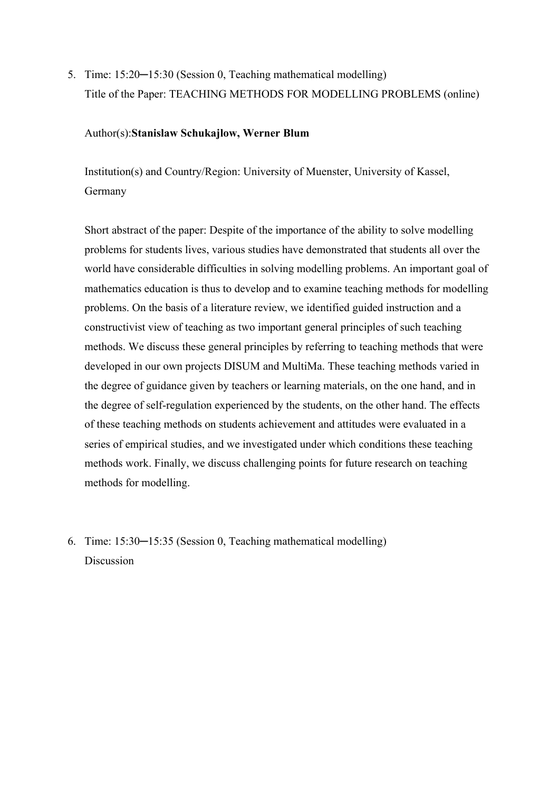5. Time: 15:20—15:30 (Session 0, Teaching mathematical modelling) Title of the Paper: TEACHING METHODS FOR MODELLING PROBLEMS (online)

## Author(s):**Stanislaw Schukajlow, Werner Blum**

Institution(s) and Country/Region: University of Muenster, University of Kassel, Germany

Short abstract of the paper: Despite of the importance of the ability to solve modelling problems for students lives, various studies have demonstrated that students all over the world have considerable difficulties in solving modelling problems. An important goal of mathematics education is thus to develop and to examine teaching methods for modelling problems. On the basis of a literature review, we identified guided instruction and a constructivist view of teaching as two important general principles of such teaching methods. We discuss these general principles by referring to teaching methods that were developed in our own projects DISUM and MultiMa. These teaching methods varied in the degree of guidance given by teachers or learning materials, on the one hand, and in the degree of self-regulation experienced by the students, on the other hand. The effects of these teaching methods on students achievement and attitudes were evaluated in a series of empirical studies, and we investigated under which conditions these teaching methods work. Finally, we discuss challenging points for future research on teaching methods for modelling.

6. Time: 15:30─15:35 (Session 0, Teaching mathematical modelling) Discussion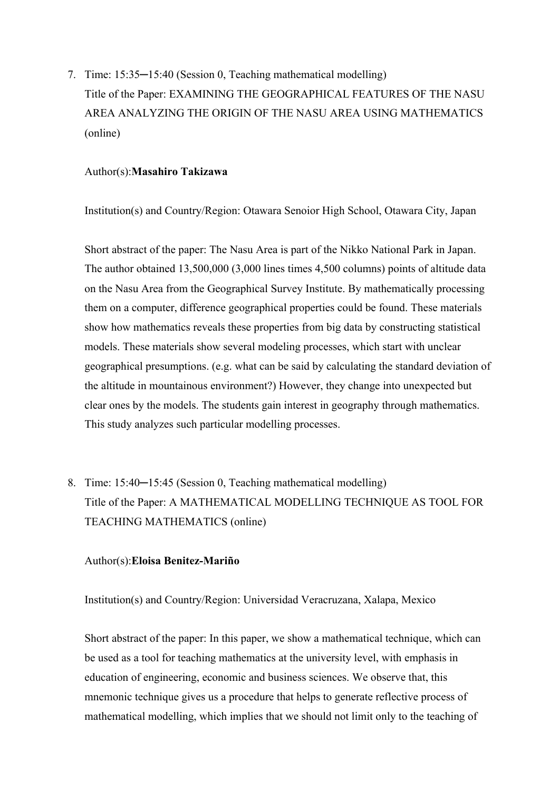7. Time: 15:35─15:40 (Session 0, Teaching mathematical modelling) Title of the Paper: EXAMINING THE GEOGRAPHICAL FEATURES OF THE NASU AREA ANALYZING THE ORIGIN OF THE NASU AREA USING MATHEMATICS (online)

### Author(s):**Masahiro Takizawa**

Institution(s) and Country/Region: Otawara Senoior High School, Otawara City, Japan

Short abstract of the paper: The Nasu Area is part of the Nikko National Park in Japan. The author obtained 13,500,000 (3,000 lines times 4,500 columns) points of altitude data on the Nasu Area from the Geographical Survey Institute. By mathematically processing them on a computer, difference geographical properties could be found. These materials show how mathematics reveals these properties from big data by constructing statistical models. These materials show several modeling processes, which start with unclear geographical presumptions. (e.g. what can be said by calculating the standard deviation of the altitude in mountainous environment?) However, they change into unexpected but clear ones by the models. The students gain interest in geography through mathematics. This study analyzes such particular modelling processes.

8. Time: 15:40-15:45 (Session 0, Teaching mathematical modelling) Title of the Paper: A MATHEMATICAL MODELLING TECHNIQUE AS TOOL FOR TEACHING MATHEMATICS (online)

#### Author(s):**Eloisa Benitez-Mariño**

Institution(s) and Country/Region: Universidad Veracruzana, Xalapa, Mexico

Short abstract of the paper: In this paper, we show a mathematical technique, which can be used as a tool for teaching mathematics at the university level, with emphasis in education of engineering, economic and business sciences. We observe that, this mnemonic technique gives us a procedure that helps to generate reflective process of mathematical modelling, which implies that we should not limit only to the teaching of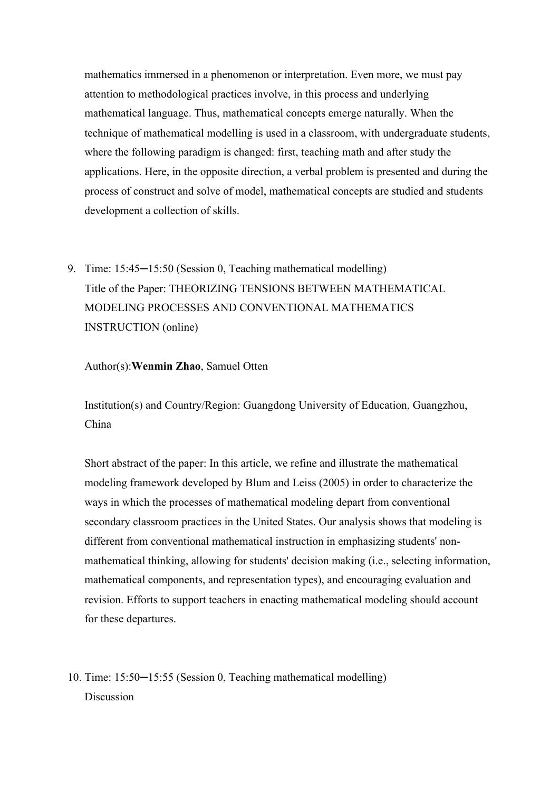mathematics immersed in a phenomenon or interpretation. Even more, we must pay attention to methodological practices involve, in this process and underlying mathematical language. Thus, mathematical concepts emerge naturally. When the technique of mathematical modelling is used in a classroom, with undergraduate students, where the following paradigm is changed: first, teaching math and after study the applications. Here, in the opposite direction, a verbal problem is presented and during the process of construct and solve of model, mathematical concepts are studied and students development a collection of skills.

9. Time: 15:45—15:50 (Session 0, Teaching mathematical modelling) Title of the Paper: THEORIZING TENSIONS BETWEEN MATHEMATICAL MODELING PROCESSES AND CONVENTIONAL MATHEMATICS INSTRUCTION (online)

Author(s):**Wenmin Zhao**, Samuel Otten

Institution(s) and Country/Region: Guangdong University of Education, Guangzhou, China

Short abstract of the paper: In this article, we refine and illustrate the mathematical modeling framework developed by Blum and Leiss (2005) in order to characterize the ways in which the processes of mathematical modeling depart from conventional secondary classroom practices in the United States. Our analysis shows that modeling is different from conventional mathematical instruction in emphasizing students' nonmathematical thinking, allowing for students' decision making (i.e., selecting information, mathematical components, and representation types), and encouraging evaluation and revision. Efforts to support teachers in enacting mathematical modeling should account for these departures.

10. Time: 15:50─15:55 (Session 0, Teaching mathematical modelling) Discussion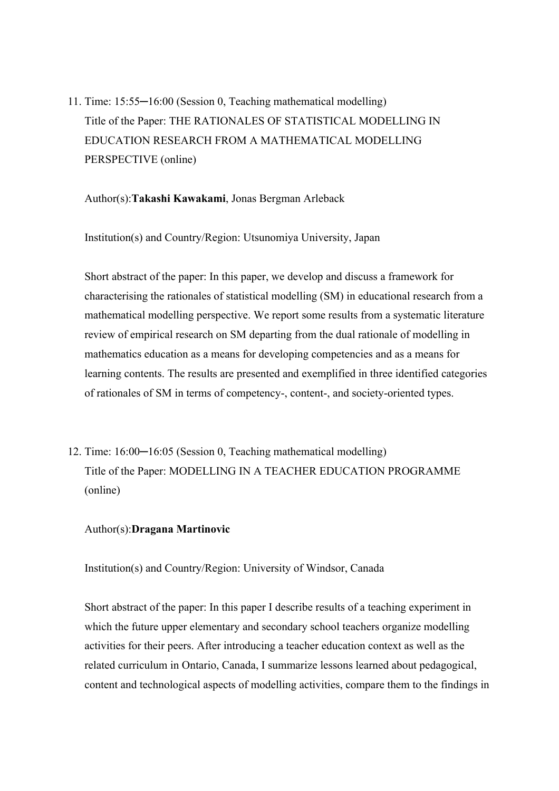11. Time: 15:55─16:00 (Session 0, Teaching mathematical modelling) Title of the Paper: THE RATIONALES OF STATISTICAL MODELLING IN EDUCATION RESEARCH FROM A MATHEMATICAL MODELLING PERSPECTIVE (online)

Author(s):**Takashi Kawakami**, Jonas Bergman Arleback

Institution(s) and Country/Region: Utsunomiya University, Japan

Short abstract of the paper: In this paper, we develop and discuss a framework for characterising the rationales of statistical modelling (SM) in educational research from a mathematical modelling perspective. We report some results from a systematic literature review of empirical research on SM departing from the dual rationale of modelling in mathematics education as a means for developing competencies and as a means for learning contents. The results are presented and exemplified in three identified categories of rationales of SM in terms of competency-, content-, and society-oriented types.

12. Time: 16:00─16:05 (Session 0, Teaching mathematical modelling) Title of the Paper: MODELLING IN A TEACHER EDUCATION PROGRAMME (online)

#### Author(s):**Dragana Martinovic**

Institution(s) and Country/Region: University of Windsor, Canada

Short abstract of the paper: In this paper I describe results of a teaching experiment in which the future upper elementary and secondary school teachers organize modelling activities for their peers. After introducing a teacher education context as well as the related curriculum in Ontario, Canada, I summarize lessons learned about pedagogical, content and technological aspects of modelling activities, compare them to the findings in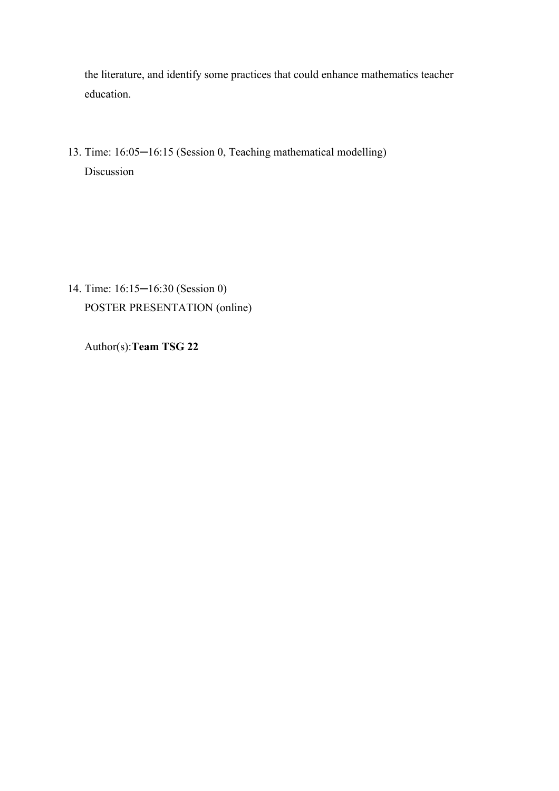the literature, and identify some practices that could enhance mathematics teacher education.

13. Time: 16:05─16:15 (Session 0, Teaching mathematical modelling) Discussion

14. Time: 16:15─16:30 (Session 0) POSTER PRESENTATION (online)

Author(s):**Team TSG 22**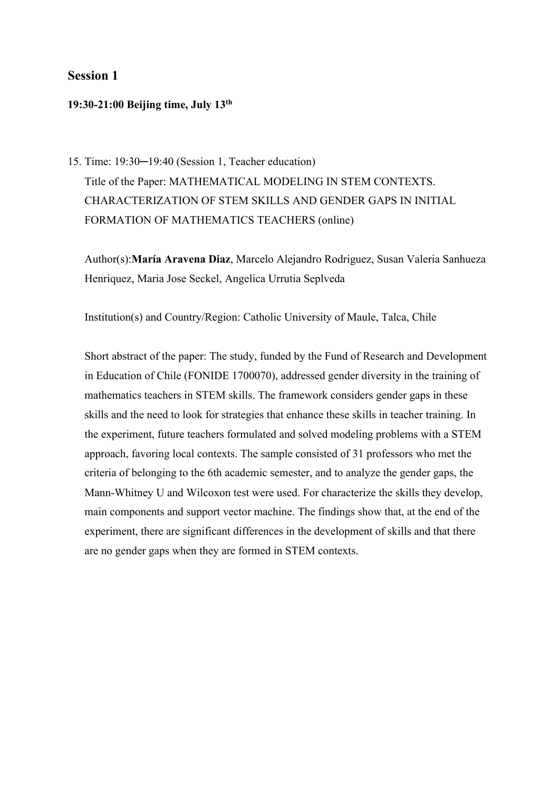## **Session 1**

#### **19:30-21:00 Beijing time, July 13th**

15. Time: 19:30─19:40 (Session 1, Teacher education) Title of the Paper: MATHEMATICAL MODELING IN STEM CONTEXTS. CHARACTERIZATION OF STEM SKILLS AND GENDER GAPS IN INITIAL FORMATION OF MATHEMATICS TEACHERS (online)

Author(s):**María Aravena Diaz**, Marcelo Alejandro Rodriguez, Susan Valeria Sanhueza Henriquez, Maria Jose Seckel, Angelica Urrutia Seplveda

Institution(s) and Country/Region: Catholic University of Maule, Talca, Chile

Short abstract of the paper: The study, funded by the Fund of Research and Development in Education of Chile (FONIDE 1700070), addressed gender diversity in the training of mathematics teachers in STEM skills. The framework considers gender gaps in these skills and the need to look for strategies that enhance these skills in teacher training. In the experiment, future teachers formulated and solved modeling problems with a STEM approach, favoring local contexts. The sample consisted of 31 professors who met the criteria of belonging to the 6th academic semester, and to analyze the gender gaps, the Mann-Whitney U and Wilcoxon test were used. For characterize the skills they develop, main components and support vector machine. The findings show that, at the end of the experiment, there are significant differences in the development of skills and that there are no gender gaps when they are formed in STEM contexts.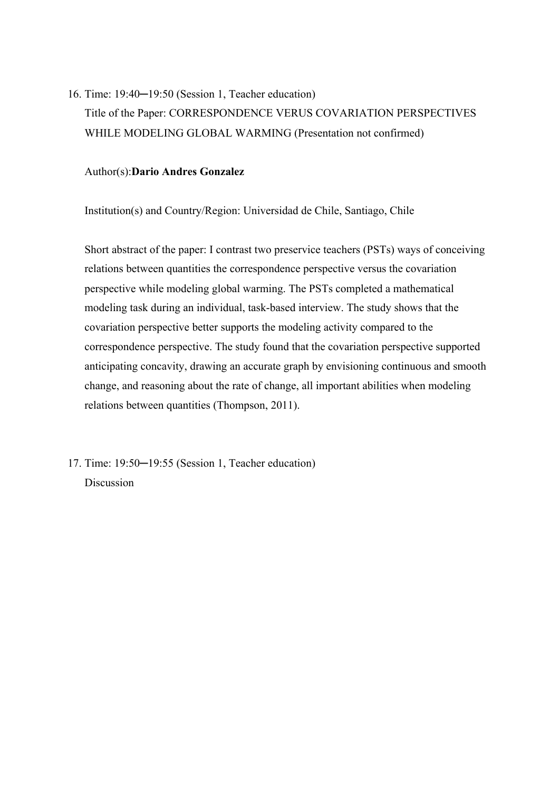16. Time: 19:40─19:50 (Session 1, Teacher education) Title of the Paper: CORRESPONDENCE VERUS COVARIATION PERSPECTIVES WHILE MODELING GLOBAL WARMING (Presentation not confirmed)

#### Author(s):**Dario Andres Gonzalez**

Institution(s) and Country/Region: Universidad de Chile, Santiago, Chile

Short abstract of the paper: I contrast two preservice teachers (PSTs) ways of conceiving relations between quantities the correspondence perspective versus the covariation perspective while modeling global warming. The PSTs completed a mathematical modeling task during an individual, task-based interview. The study shows that the covariation perspective better supports the modeling activity compared to the correspondence perspective. The study found that the covariation perspective supported anticipating concavity, drawing an accurate graph by envisioning continuous and smooth change, and reasoning about the rate of change, all important abilities when modeling relations between quantities (Thompson, 2011).

17. Time: 19:50─19:55 (Session 1, Teacher education) Discussion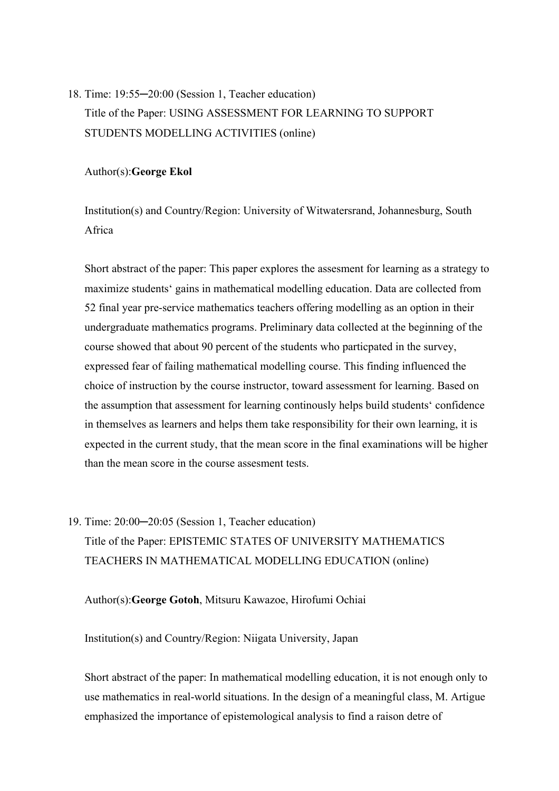## 18. Time: 19:55─20:00 (Session 1, Teacher education) Title of the Paper: USING ASSESSMENT FOR LEARNING TO SUPPORT STUDENTS MODELLING ACTIVITIES (online)

Author(s):**George Ekol**

Institution(s) and Country/Region: University of Witwatersrand, Johannesburg, South Africa

Short abstract of the paper: This paper explores the assesment for learning as a strategy to maximize students' gains in mathematical modelling education. Data are collected from 52 final year pre-service mathematics teachers offering modelling as an option in their undergraduate mathematics programs. Preliminary data collected at the beginning of the course showed that about 90 percent of the students who particpated in the survey, expressed fear of failing mathematical modelling course. This finding influenced the choice of instruction by the course instructor, toward assessment for learning. Based on the assumption that assessment for learning continously helps build students' confidence in themselves as learners and helps them take responsibility for their own learning, it is expected in the current study, that the mean score in the final examinations will be higher than the mean score in the course assesment tests.

19. Time: 20:00─20:05 (Session 1, Teacher education) Title of the Paper: EPISTEMIC STATES OF UNIVERSITY MATHEMATICS TEACHERS IN MATHEMATICAL MODELLING EDUCATION (online)

Author(s):**George Gotoh**, Mitsuru Kawazoe, Hirofumi Ochiai

Institution(s) and Country/Region: Niigata University, Japan

Short abstract of the paper: In mathematical modelling education, it is not enough only to use mathematics in real-world situations. In the design of a meaningful class, M. Artigue emphasized the importance of epistemological analysis to find a raison detre of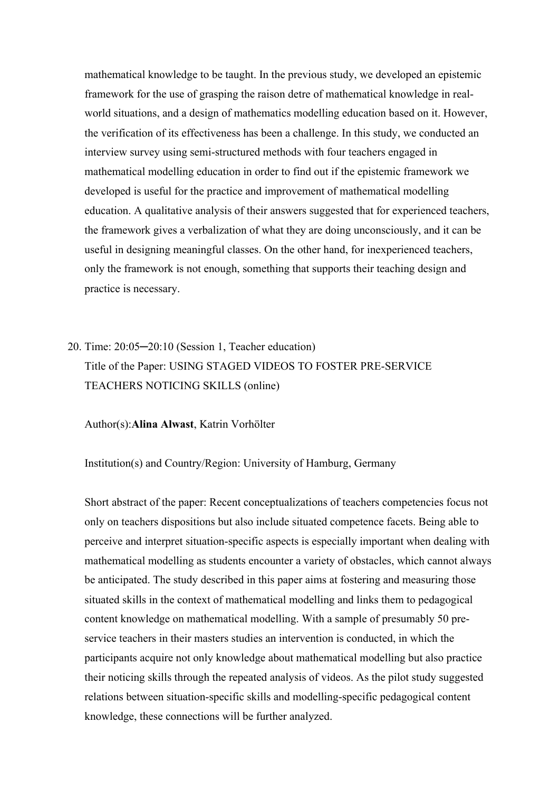mathematical knowledge to be taught. In the previous study, we developed an epistemic framework for the use of grasping the raison detre of mathematical knowledge in realworld situations, and a design of mathematics modelling education based on it. However, the verification of its effectiveness has been a challenge. In this study, we conducted an interview survey using semi-structured methods with four teachers engaged in mathematical modelling education in order to find out if the epistemic framework we developed is useful for the practice and improvement of mathematical modelling education. A qualitative analysis of their answers suggested that for experienced teachers, the framework gives a verbalization of what they are doing unconsciously, and it can be useful in designing meaningful classes. On the other hand, for inexperienced teachers, only the framework is not enough, something that supports their teaching design and practice is necessary.

20. Time: 20:05─20:10 (Session 1, Teacher education) Title of the Paper: USING STAGED VIDEOS TO FOSTER PRE-SERVICE TEACHERS NOTICING SKILLS (online)

Author(s):**Alina Alwast**, Katrin Vorhölter

Institution(s) and Country/Region: University of Hamburg, Germany

Short abstract of the paper: Recent conceptualizations of teachers competencies focus not only on teachers dispositions but also include situated competence facets. Being able to perceive and interpret situation-specific aspects is especially important when dealing with mathematical modelling as students encounter a variety of obstacles, which cannot always be anticipated. The study described in this paper aims at fostering and measuring those situated skills in the context of mathematical modelling and links them to pedagogical content knowledge on mathematical modelling. With a sample of presumably 50 preservice teachers in their masters studies an intervention is conducted, in which the participants acquire not only knowledge about mathematical modelling but also practice their noticing skills through the repeated analysis of videos. As the pilot study suggested relations between situation-specific skills and modelling-specific pedagogical content knowledge, these connections will be further analyzed.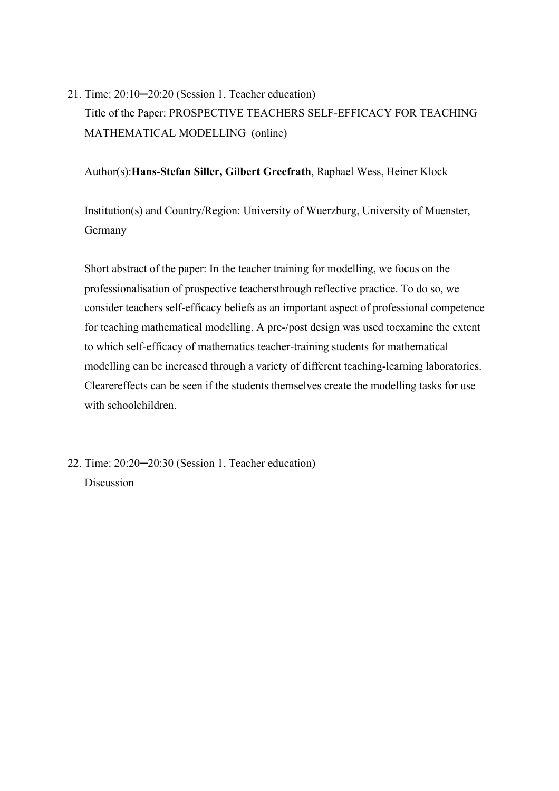21. Time: 20:10─20:20 (Session 1, Teacher education)

Title of the Paper: PROSPECTIVE TEACHERS SELF-EFFICACY FOR TEACHING MATHEMATICAL MODELLING (online)

Author(s):**Hans-Stefan Siller, Gilbert Greefrath**, Raphael Wess, Heiner Klock

Institution(s) and Country/Region: University of Wuerzburg, University of Muenster, Germany

Short abstract of the paper: In the teacher training for modelling, we focus on the professionalisation of prospective teachersthrough reflective practice. To do so, we consider teachers self-efficacy beliefs as an important aspect of professional competence for teaching mathematical modelling. A pre-/post design was used toexamine the extent to which self-efficacy of mathematics teacher-training students for mathematical modelling can be increased through a variety of different teaching-learning laboratories. Clearereffects can be seen if the students themselves create the modelling tasks for use with schoolchildren.

22. Time: 20:20─20:30 (Session 1, Teacher education) Discussion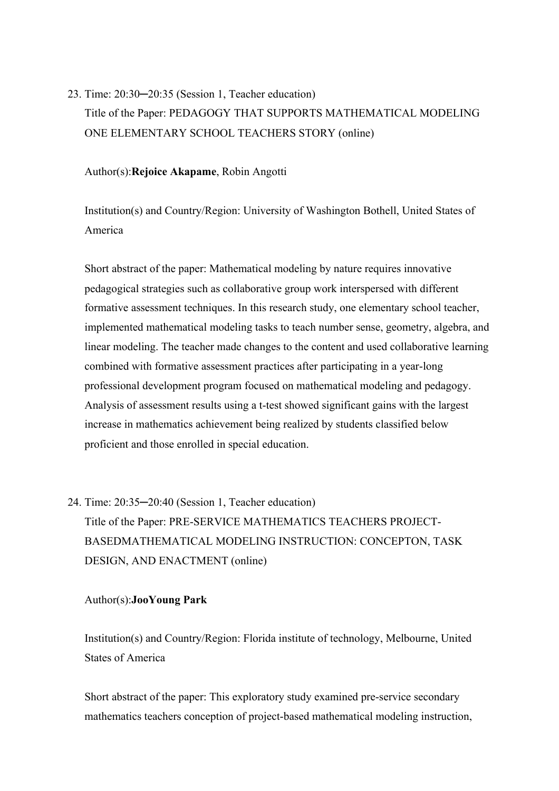23. Time: 20:30─20:35 (Session 1, Teacher education) Title of the Paper: PEDAGOGY THAT SUPPORTS MATHEMATICAL MODELING ONE ELEMENTARY SCHOOL TEACHERS STORY (online)

Author(s):**Rejoice Akapame**, Robin Angotti

Institution(s) and Country/Region: University of Washington Bothell, United States of America

Short abstract of the paper: Mathematical modeling by nature requires innovative pedagogical strategies such as collaborative group work interspersed with different formative assessment techniques. In this research study, one elementary school teacher, implemented mathematical modeling tasks to teach number sense, geometry, algebra, and linear modeling. The teacher made changes to the content and used collaborative learning combined with formative assessment practices after participating in a year-long professional development program focused on mathematical modeling and pedagogy. Analysis of assessment results using a t-test showed significant gains with the largest increase in mathematics achievement being realized by students classified below proficient and those enrolled in special education.

# 24. Time: 20:35─20:40 (Session 1, Teacher education) Title of the Paper: PRE-SERVICE MATHEMATICS TEACHERS PROJECT-BASEDMATHEMATICAL MODELING INSTRUCTION: CONCEPTON, TASK DESIGN, AND ENACTMENT (online)

### Author(s):**JooYoung Park**

Institution(s) and Country/Region: Florida institute of technology, Melbourne, United States of America

Short abstract of the paper: This exploratory study examined pre-service secondary mathematics teachers conception of project-based mathematical modeling instruction,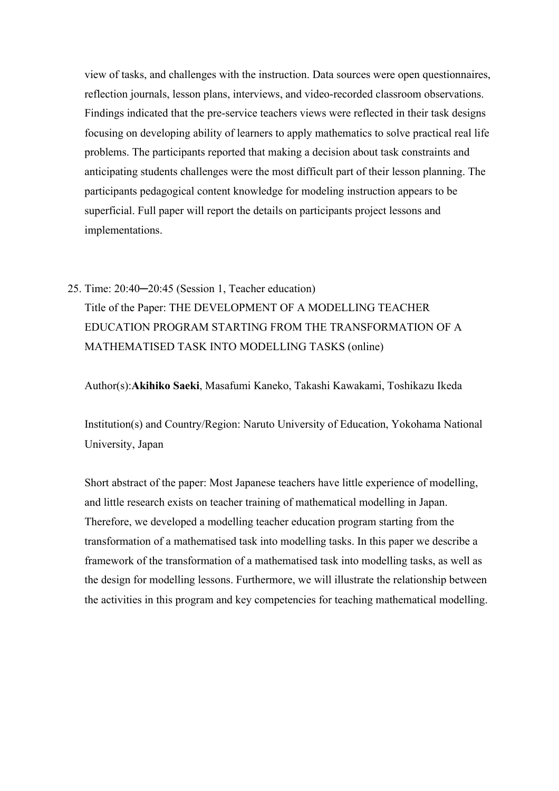view of tasks, and challenges with the instruction. Data sources were open questionnaires, reflection journals, lesson plans, interviews, and video-recorded classroom observations. Findings indicated that the pre-service teachers views were reflected in their task designs focusing on developing ability of learners to apply mathematics to solve practical real life problems. The participants reported that making a decision about task constraints and anticipating students challenges were the most difficult part of their lesson planning. The participants pedagogical content knowledge for modeling instruction appears to be superficial. Full paper will report the details on participants project lessons and implementations.

25. Time: 20:40─20:45 (Session 1, Teacher education) Title of the Paper: THE DEVELOPMENT OF A MODELLING TEACHER EDUCATION PROGRAM STARTING FROM THE TRANSFORMATION OF A MATHEMATISED TASK INTO MODELLING TASKS (online)

Author(s):**Akihiko Saeki**, Masafumi Kaneko, Takashi Kawakami, Toshikazu Ikeda

Institution(s) and Country/Region: Naruto University of Education, Yokohama National University, Japan

Short abstract of the paper: Most Japanese teachers have little experience of modelling, and little research exists on teacher training of mathematical modelling in Japan. Therefore, we developed a modelling teacher education program starting from the transformation of a mathematised task into modelling tasks. In this paper we describe a framework of the transformation of a mathematised task into modelling tasks, as well as the design for modelling lessons. Furthermore, we will illustrate the relationship between the activities in this program and key competencies for teaching mathematical modelling.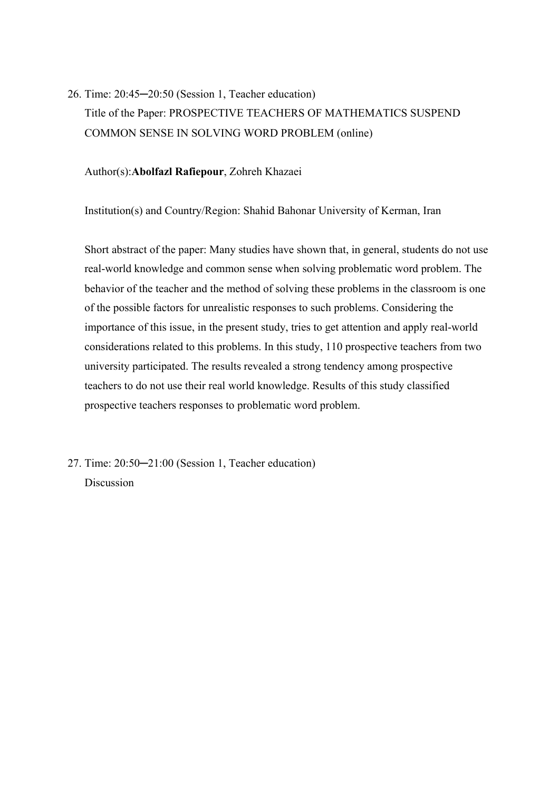26. Time: 20:45─20:50 (Session 1, Teacher education) Title of the Paper: PROSPECTIVE TEACHERS OF MATHEMATICS SUSPEND COMMON SENSE IN SOLVING WORD PROBLEM (online)

Author(s):**Abolfazl Rafiepour**, Zohreh Khazaei

Institution(s) and Country/Region: Shahid Bahonar University of Kerman, Iran

Short abstract of the paper: Many studies have shown that, in general, students do not use real-world knowledge and common sense when solving problematic word problem. The behavior of the teacher and the method of solving these problems in the classroom is one of the possible factors for unrealistic responses to such problems. Considering the importance of this issue, in the present study, tries to get attention and apply real-world considerations related to this problems. In this study, 110 prospective teachers from two university participated. The results revealed a strong tendency among prospective teachers to do not use their real world knowledge. Results of this study classified prospective teachers responses to problematic word problem.

27. Time: 20:50─21:00 (Session 1, Teacher education) Discussion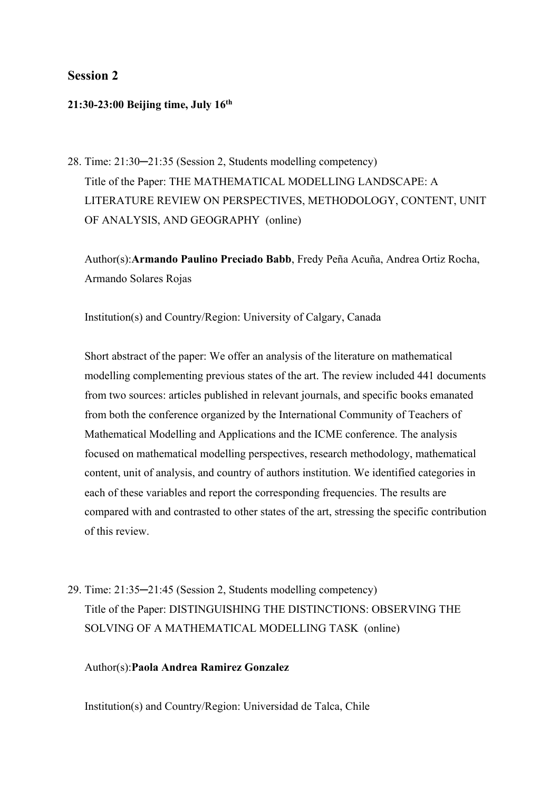## **Session 2**

## **21:30-23:00 Beijing time, July 16th**

28. Time: 21:30─21:35 (Session 2, Students modelling competency) Title of the Paper: THE MATHEMATICAL MODELLING LANDSCAPE: A LITERATURE REVIEW ON PERSPECTIVES, METHODOLOGY, CONTENT, UNIT OF ANALYSIS, AND GEOGRAPHY (online)

Author(s):**Armando Paulino Preciado Babb**, Fredy Peña Acuña, Andrea Ortiz Rocha, Armando Solares Rojas

Institution(s) and Country/Region: University of Calgary, Canada

Short abstract of the paper: We offer an analysis of the literature on mathematical modelling complementing previous states of the art. The review included 441 documents from two sources: articles published in relevant journals, and specific books emanated from both the conference organized by the International Community of Teachers of Mathematical Modelling and Applications and the ICME conference. The analysis focused on mathematical modelling perspectives, research methodology, mathematical content, unit of analysis, and country of authors institution. We identified categories in each of these variables and report the corresponding frequencies. The results are compared with and contrasted to other states of the art, stressing the specific contribution of this review.

29. Time: 21:35─21:45 (Session 2, Students modelling competency) Title of the Paper: DISTINGUISHING THE DISTINCTIONS: OBSERVING THE SOLVING OF A MATHEMATICAL MODELLING TASK (online)

### Author(s):**Paola Andrea Ramirez Gonzalez**

Institution(s) and Country/Region: Universidad de Talca, Chile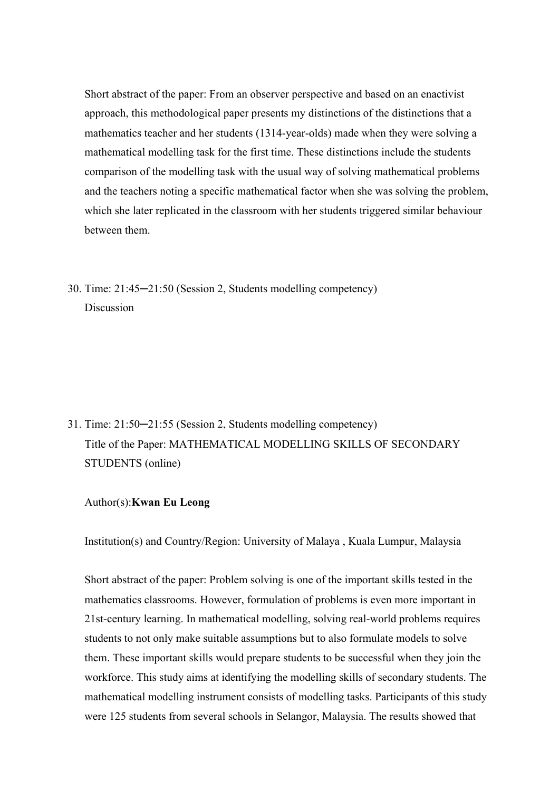Short abstract of the paper: From an observer perspective and based on an enactivist approach, this methodological paper presents my distinctions of the distinctions that a mathematics teacher and her students (1314-year-olds) made when they were solving a mathematical modelling task for the first time. These distinctions include the students comparison of the modelling task with the usual way of solving mathematical problems and the teachers noting a specific mathematical factor when she was solving the problem, which she later replicated in the classroom with her students triggered similar behaviour between them.

30. Time: 21:45─21:50 (Session 2, Students modelling competency) Discussion

31. Time: 21:50─21:55 (Session 2, Students modelling competency) Title of the Paper: MATHEMATICAL MODELLING SKILLS OF SECONDARY STUDENTS (online)

### Author(s):**Kwan Eu Leong**

Institution(s) and Country/Region: University of Malaya , Kuala Lumpur, Malaysia

Short abstract of the paper: Problem solving is one of the important skills tested in the mathematics classrooms. However, formulation of problems is even more important in 21st-century learning. In mathematical modelling, solving real-world problems requires students to not only make suitable assumptions but to also formulate models to solve them. These important skills would prepare students to be successful when they join the workforce. This study aims at identifying the modelling skills of secondary students. The mathematical modelling instrument consists of modelling tasks. Participants of this study were 125 students from several schools in Selangor, Malaysia. The results showed that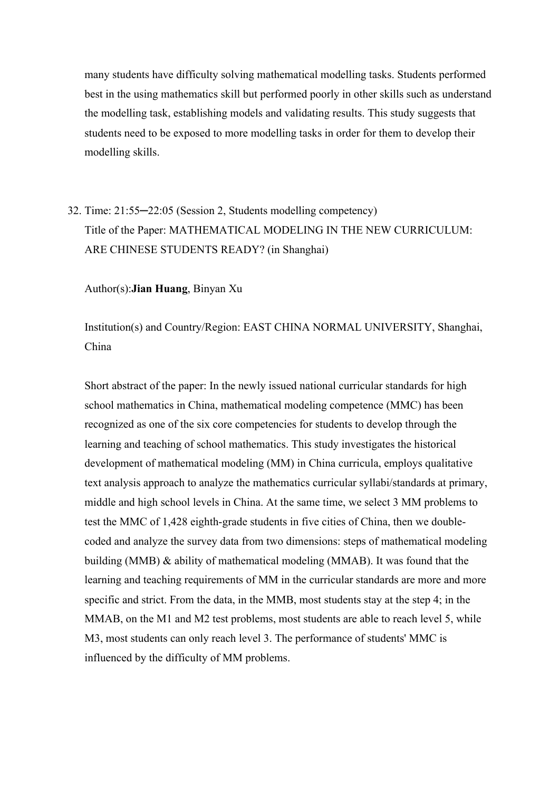many students have difficulty solving mathematical modelling tasks. Students performed best in the using mathematics skill but performed poorly in other skills such as understand the modelling task, establishing models and validating results. This study suggests that students need to be exposed to more modelling tasks in order for them to develop their modelling skills.

32. Time: 21:55─22:05 (Session 2, Students modelling competency) Title of the Paper: MATHEMATICAL MODELING IN THE NEW CURRICULUM: ARE CHINESE STUDENTS READY? (in Shanghai)

Author(s):**Jian Huang**, Binyan Xu

Institution(s) and Country/Region: EAST CHINA NORMAL UNIVERSITY, Shanghai, China

Short abstract of the paper: In the newly issued national curricular standards for high school mathematics in China, mathematical modeling competence (MMC) has been recognized as one of the six core competencies for students to develop through the learning and teaching of school mathematics. This study investigates the historical development of mathematical modeling (MM) in China curricula, employs qualitative text analysis approach to analyze the mathematics curricular syllabi/standards at primary, middle and high school levels in China. At the same time, we select 3 MM problems to test the MMC of 1,428 eighth-grade students in five cities of China, then we doublecoded and analyze the survey data from two dimensions: steps of mathematical modeling building (MMB) & ability of mathematical modeling (MMAB). It was found that the learning and teaching requirements of MM in the curricular standards are more and more specific and strict. From the data, in the MMB, most students stay at the step 4; in the MMAB, on the M1 and M2 test problems, most students are able to reach level 5, while M3, most students can only reach level 3. The performance of students' MMC is influenced by the difficulty of MM problems.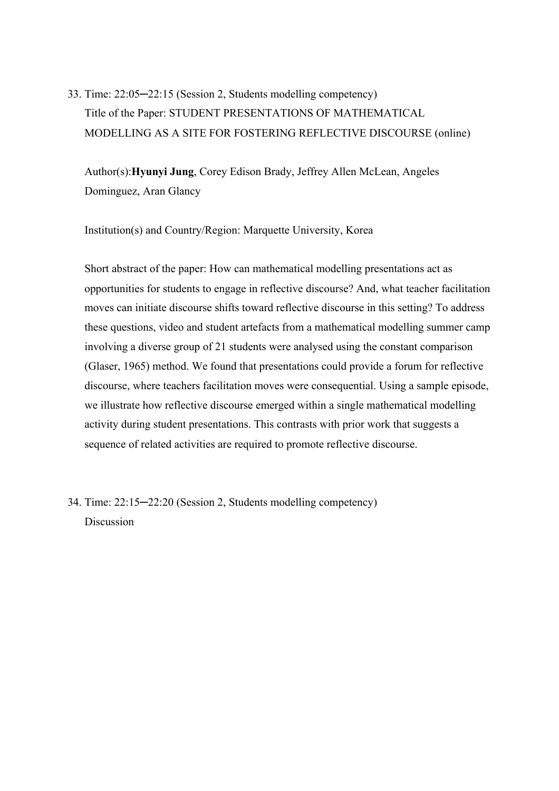33. Time: 22:05─22:15 (Session 2, Students modelling competency) Title of the Paper: STUDENT PRESENTATIONS OF MATHEMATICAL MODELLING AS A SITE FOR FOSTERING REFLECTIVE DISCOURSE (online)

Author(s):**Hyunyi Jung**, Corey Edison Brady, Jeffrey Allen McLean, Angeles Dominguez, Aran Glancy

Institution(s) and Country/Region: Marquette University, Korea

Short abstract of the paper: How can mathematical modelling presentations act as opportunities for students to engage in reflective discourse? And, what teacher facilitation moves can initiate discourse shifts toward reflective discourse in this setting? To address these questions, video and student artefacts from a mathematical modelling summer camp involving a diverse group of 21 students were analysed using the constant comparison (Glaser, 1965) method. We found that presentations could provide a forum for reflective discourse, where teachers facilitation moves were consequential. Using a sample episode, we illustrate how reflective discourse emerged within a single mathematical modelling activity during student presentations. This contrasts with prior work that suggests a sequence of related activities are required to promote reflective discourse.

34. Time: 22:15─22:20 (Session 2, Students modelling competency) **Discussion**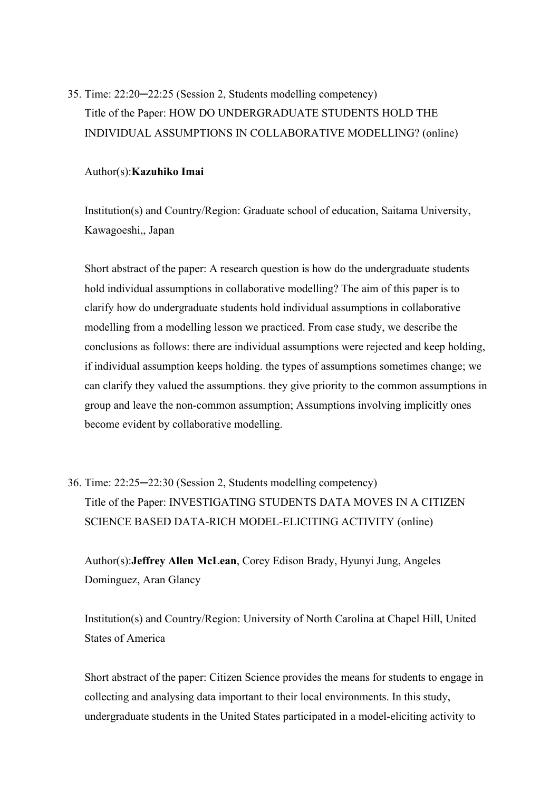35. Time: 22:20─22:25 (Session 2, Students modelling competency) Title of the Paper: HOW DO UNDERGRADUATE STUDENTS HOLD THE INDIVIDUAL ASSUMPTIONS IN COLLABORATIVE MODELLING? (online)

#### Author(s):**Kazuhiko Imai**

Institution(s) and Country/Region: Graduate school of education, Saitama University, Kawagoeshi,, Japan

Short abstract of the paper: A research question is how do the undergraduate students hold individual assumptions in collaborative modelling? The aim of this paper is to clarify how do undergraduate students hold individual assumptions in collaborative modelling from a modelling lesson we practiced. From case study, we describe the conclusions as follows: there are individual assumptions were rejected and keep holding, if individual assumption keeps holding. the types of assumptions sometimes change; we can clarify they valued the assumptions. they give priority to the common assumptions in group and leave the non-common assumption; Assumptions involving implicitly ones become evident by collaborative modelling.

36. Time: 22:25─22:30 (Session 2, Students modelling competency) Title of the Paper: INVESTIGATING STUDENTS DATA MOVES IN A CITIZEN SCIENCE BASED DATA-RICH MODEL-ELICITING ACTIVITY (online)

Author(s):**Jeffrey Allen McLean**, Corey Edison Brady, Hyunyi Jung, Angeles Dominguez, Aran Glancy

Institution(s) and Country/Region: University of North Carolina at Chapel Hill, United States of America

Short abstract of the paper: Citizen Science provides the means for students to engage in collecting and analysing data important to their local environments. In this study, undergraduate students in the United States participated in a model-eliciting activity to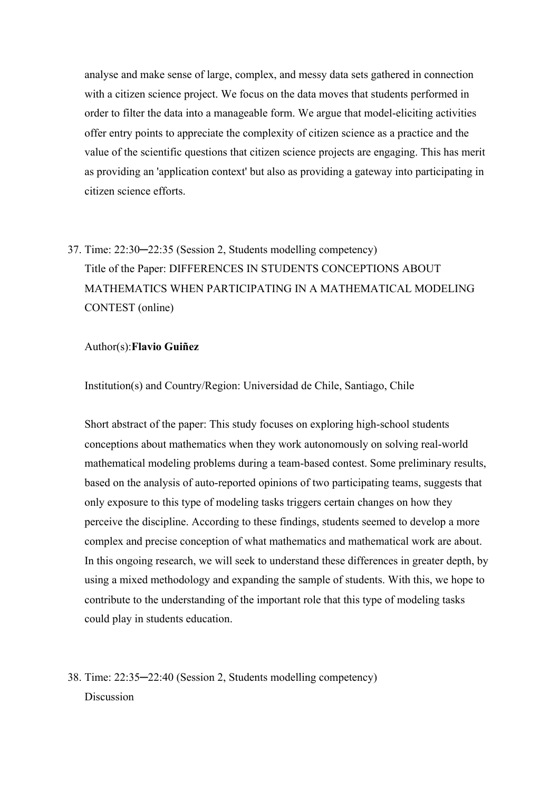analyse and make sense of large, complex, and messy data sets gathered in connection with a citizen science project. We focus on the data moves that students performed in order to filter the data into a manageable form. We argue that model-eliciting activities offer entry points to appreciate the complexity of citizen science as a practice and the value of the scientific questions that citizen science projects are engaging. This has merit as providing an 'application context' but also as providing a gateway into participating in citizen science efforts.

37. Time: 22:30─22:35 (Session 2, Students modelling competency) Title of the Paper: DIFFERENCES IN STUDENTS CONCEPTIONS ABOUT MATHEMATICS WHEN PARTICIPATING IN A MATHEMATICAL MODELING CONTEST (online)

#### Author(s):**Flavio Guiñez**

Institution(s) and Country/Region: Universidad de Chile, Santiago, Chile

Short abstract of the paper: This study focuses on exploring high-school students conceptions about mathematics when they work autonomously on solving real-world mathematical modeling problems during a team-based contest. Some preliminary results, based on the analysis of auto-reported opinions of two participating teams, suggests that only exposure to this type of modeling tasks triggers certain changes on how they perceive the discipline. According to these findings, students seemed to develop a more complex and precise conception of what mathematics and mathematical work are about. In this ongoing research, we will seek to understand these differences in greater depth, by using a mixed methodology and expanding the sample of students. With this, we hope to contribute to the understanding of the important role that this type of modeling tasks could play in students education.

38. Time: 22:35─22:40 (Session 2, Students modelling competency) **Discussion**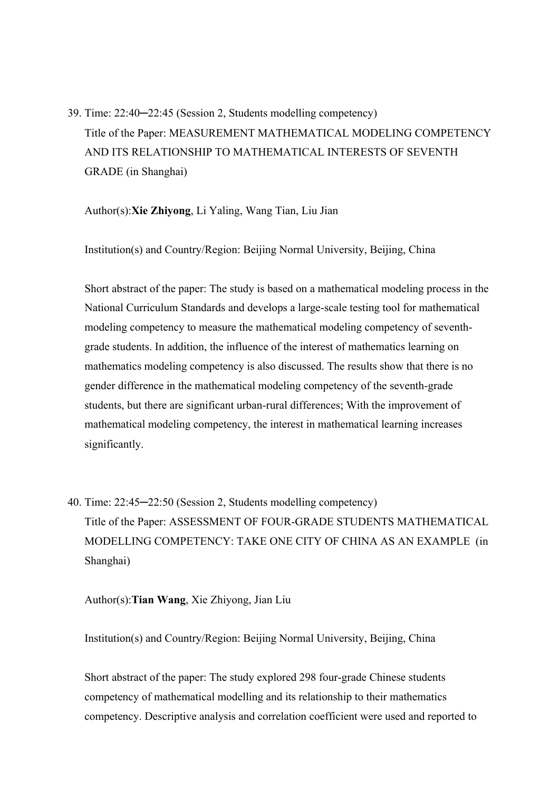39. Time: 22:40─22:45 (Session 2, Students modelling competency) Title of the Paper: MEASUREMENT MATHEMATICAL MODELING COMPETENCY AND ITS RELATIONSHIP TO MATHEMATICAL INTERESTS OF SEVENTH GRADE (in Shanghai)

Author(s):**Xie Zhiyong**, Li Yaling, Wang Tian, Liu Jian

Institution(s) and Country/Region: Beijing Normal University, Beijing, China

Short abstract of the paper: The study is based on a mathematical modeling process in the National Curriculum Standards and develops a large-scale testing tool for mathematical modeling competency to measure the mathematical modeling competency of seventhgrade students. In addition, the influence of the interest of mathematics learning on mathematics modeling competency is also discussed. The results show that there is no gender difference in the mathematical modeling competency of the seventh-grade students, but there are significant urban-rural differences; With the improvement of mathematical modeling competency, the interest in mathematical learning increases significantly.

40. Time: 22:45─22:50 (Session 2, Students modelling competency) Title of the Paper: ASSESSMENT OF FOUR-GRADE STUDENTS MATHEMATICAL MODELLING COMPETENCY: TAKE ONE CITY OF CHINA AS AN EXAMPLE (in Shanghai)

Author(s):**Tian Wang**, Xie Zhiyong, Jian Liu

Institution(s) and Country/Region: Beijing Normal University, Beijing, China

Short abstract of the paper: The study explored 298 four-grade Chinese students competency of mathematical modelling and its relationship to their mathematics competency. Descriptive analysis and correlation coefficient were used and reported to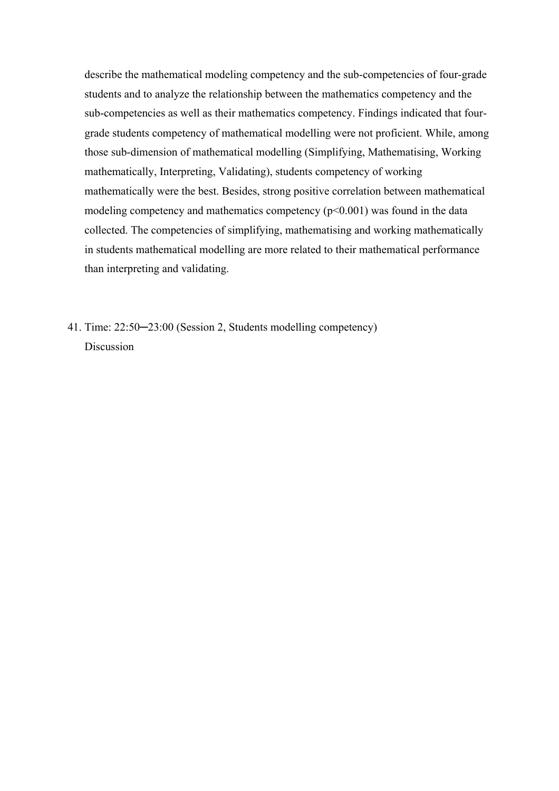describe the mathematical modeling competency and the sub-competencies of four-grade students and to analyze the relationship between the mathematics competency and the sub-competencies as well as their mathematics competency. Findings indicated that fourgrade students competency of mathematical modelling were not proficient. While, among those sub-dimension of mathematical modelling (Simplifying, Mathematising, Working mathematically, Interpreting, Validating), students competency of working mathematically were the best. Besides, strong positive correlation between mathematical modeling competency and mathematics competency  $(p<0.001)$  was found in the data collected. The competencies of simplifying, mathematising and working mathematically in students mathematical modelling are more related to their mathematical performance than interpreting and validating.

41. Time: 22:50─23:00 (Session 2, Students modelling competency) Discussion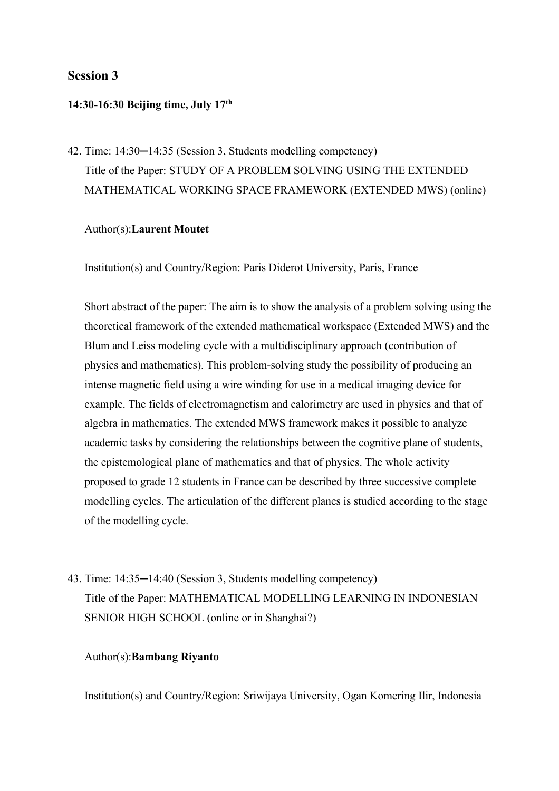## **Session 3**

### **14:30-16:30 Beijing time, July 17th**

42. Time: 14:30─14:35 (Session 3, Students modelling competency) Title of the Paper: STUDY OF A PROBLEM SOLVING USING THE EXTENDED MATHEMATICAL WORKING SPACE FRAMEWORK (EXTENDED MWS) (online)

## Author(s):**Laurent Moutet**

Institution(s) and Country/Region: Paris Diderot University, Paris, France

Short abstract of the paper: The aim is to show the analysis of a problem solving using the theoretical framework of the extended mathematical workspace (Extended MWS) and the Blum and Leiss modeling cycle with a multidisciplinary approach (contribution of physics and mathematics). This problem-solving study the possibility of producing an intense magnetic field using a wire winding for use in a medical imaging device for example. The fields of electromagnetism and calorimetry are used in physics and that of algebra in mathematics. The extended MWS framework makes it possible to analyze academic tasks by considering the relationships between the cognitive plane of students, the epistemological plane of mathematics and that of physics. The whole activity proposed to grade 12 students in France can be described by three successive complete modelling cycles. The articulation of the different planes is studied according to the stage of the modelling cycle.

43. Time: 14:35─14:40 (Session 3, Students modelling competency) Title of the Paper: MATHEMATICAL MODELLING LEARNING IN INDONESIAN SENIOR HIGH SCHOOL (online or in Shanghai?)

#### Author(s):**Bambang Riyanto**

Institution(s) and Country/Region: Sriwijaya University, Ogan Komering Ilir, Indonesia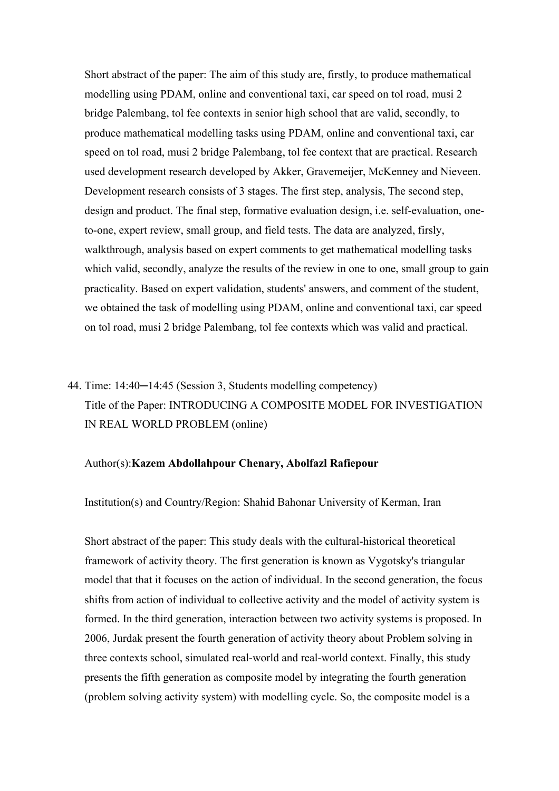Short abstract of the paper: The aim of this study are, firstly, to produce mathematical modelling using PDAM, online and conventional taxi, car speed on tol road, musi 2 bridge Palembang, tol fee contexts in senior high school that are valid, secondly, to produce mathematical modelling tasks using PDAM, online and conventional taxi, car speed on tol road, musi 2 bridge Palembang, tol fee context that are practical. Research used development research developed by Akker, Gravemeijer, McKenney and Nieveen. Development research consists of 3 stages. The first step, analysis, The second step, design and product. The final step, formative evaluation design, i.e. self-evaluation, oneto-one, expert review, small group, and field tests. The data are analyzed, firsly, walkthrough, analysis based on expert comments to get mathematical modelling tasks which valid, secondly, analyze the results of the review in one to one, small group to gain practicality. Based on expert validation, students' answers, and comment of the student, we obtained the task of modelling using PDAM, online and conventional taxi, car speed on tol road, musi 2 bridge Palembang, tol fee contexts which was valid and practical.

## 44. Time: 14:40─14:45 (Session 3, Students modelling competency) Title of the Paper: INTRODUCING A COMPOSITE MODEL FOR INVESTIGATION IN REAL WORLD PROBLEM (online)

#### Author(s):**Kazem Abdollahpour Chenary, Abolfazl Rafiepour**

Institution(s) and Country/Region: Shahid Bahonar University of Kerman, Iran

Short abstract of the paper: This study deals with the cultural-historical theoretical framework of activity theory. The first generation is known as Vygotsky's triangular model that that it focuses on the action of individual. In the second generation, the focus shifts from action of individual to collective activity and the model of activity system is formed. In the third generation, interaction between two activity systems is proposed. In 2006, Jurdak present the fourth generation of activity theory about Problem solving in three contexts school, simulated real-world and real-world context. Finally, this study presents the fifth generation as composite model by integrating the fourth generation (problem solving activity system) with modelling cycle. So, the composite model is a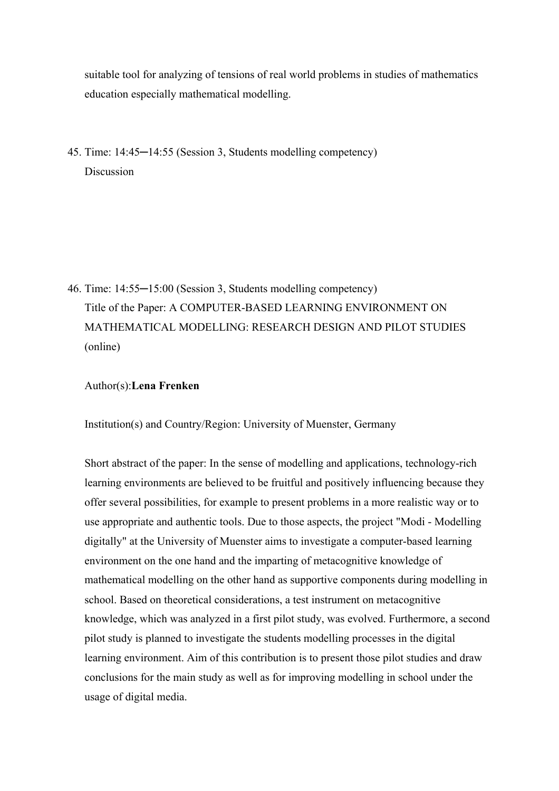suitable tool for analyzing of tensions of real world problems in studies of mathematics education especially mathematical modelling.

45. Time: 14:45─14:55 (Session 3, Students modelling competency) Discussion

46. Time: 14:55─15:00 (Session 3, Students modelling competency) Title of the Paper: A COMPUTER-BASED LEARNING ENVIRONMENT ON MATHEMATICAL MODELLING: RESEARCH DESIGN AND PILOT STUDIES (online)

## Author(s):**Lena Frenken**

Institution(s) and Country/Region: University of Muenster, Germany

Short abstract of the paper: In the sense of modelling and applications, technology-rich learning environments are believed to be fruitful and positively influencing because they offer several possibilities, for example to present problems in a more realistic way or to use appropriate and authentic tools. Due to those aspects, the project "Modi - Modelling digitally" at the University of Muenster aims to investigate a computer-based learning environment on the one hand and the imparting of metacognitive knowledge of mathematical modelling on the other hand as supportive components during modelling in school. Based on theoretical considerations, a test instrument on metacognitive knowledge, which was analyzed in a first pilot study, was evolved. Furthermore, a second pilot study is planned to investigate the students modelling processes in the digital learning environment. Aim of this contribution is to present those pilot studies and draw conclusions for the main study as well as for improving modelling in school under the usage of digital media.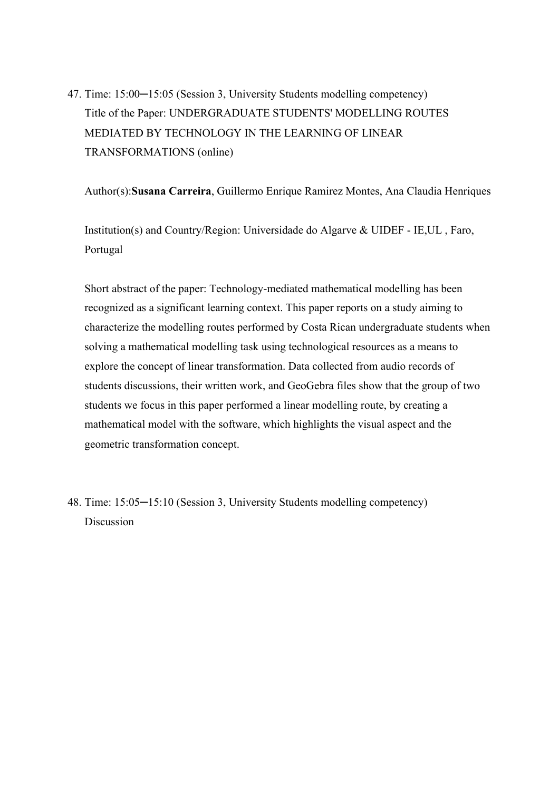47. Time: 15:00-15:05 (Session 3, University Students modelling competency) Title of the Paper: UNDERGRADUATE STUDENTS' MODELLING ROUTES MEDIATED BY TECHNOLOGY IN THE LEARNING OF LINEAR TRANSFORMATIONS (online)

Author(s):**Susana Carreira**, Guillermo Enrique Ramirez Montes, Ana Claudia Henriques

Institution(s) and Country/Region: Universidade do Algarve & UIDEF - IE,UL , Faro, Portugal

Short abstract of the paper: Technology-mediated mathematical modelling has been recognized as a significant learning context. This paper reports on a study aiming to characterize the modelling routes performed by Costa Rican undergraduate students when solving a mathematical modelling task using technological resources as a means to explore the concept of linear transformation. Data collected from audio records of students discussions, their written work, and GeoGebra files show that the group of two students we focus in this paper performed a linear modelling route, by creating a mathematical model with the software, which highlights the visual aspect and the geometric transformation concept.

48. Time: 15:05─15:10 (Session 3, University Students modelling competency) Discussion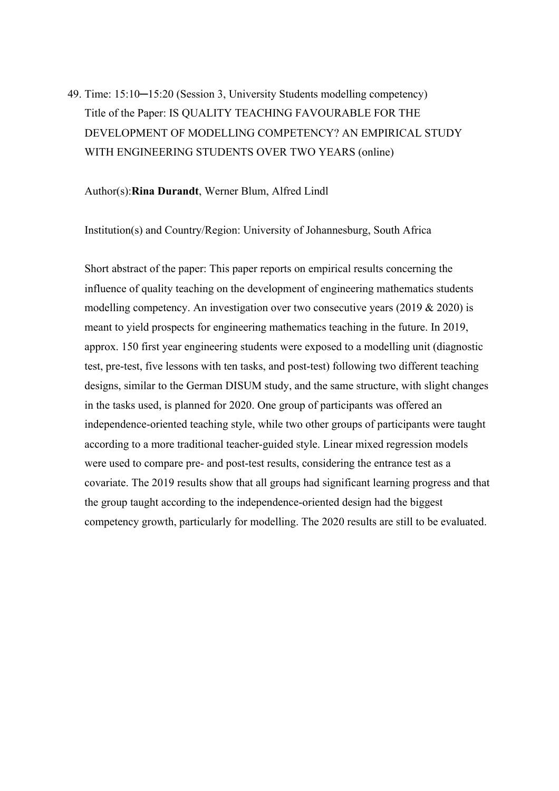49. Time: 15:10─15:20 (Session 3, University Students modelling competency) Title of the Paper: IS QUALITY TEACHING FAVOURABLE FOR THE DEVELOPMENT OF MODELLING COMPETENCY? AN EMPIRICAL STUDY WITH ENGINEERING STUDENTS OVER TWO YEARS (online)

#### Author(s):**Rina Durandt**, Werner Blum, Alfred Lindl

Institution(s) and Country/Region: University of Johannesburg, South Africa

Short abstract of the paper: This paper reports on empirical results concerning the influence of quality teaching on the development of engineering mathematics students modelling competency. An investigation over two consecutive years (2019 & 2020) is meant to yield prospects for engineering mathematics teaching in the future. In 2019, approx. 150 first year engineering students were exposed to a modelling unit (diagnostic test, pre-test, five lessons with ten tasks, and post-test) following two different teaching designs, similar to the German DISUM study, and the same structure, with slight changes in the tasks used, is planned for 2020. One group of participants was offered an independence-oriented teaching style, while two other groups of participants were taught according to a more traditional teacher-guided style. Linear mixed regression models were used to compare pre- and post-test results, considering the entrance test as a covariate. The 2019 results show that all groups had significant learning progress and that the group taught according to the independence-oriented design had the biggest competency growth, particularly for modelling. The 2020 results are still to be evaluated.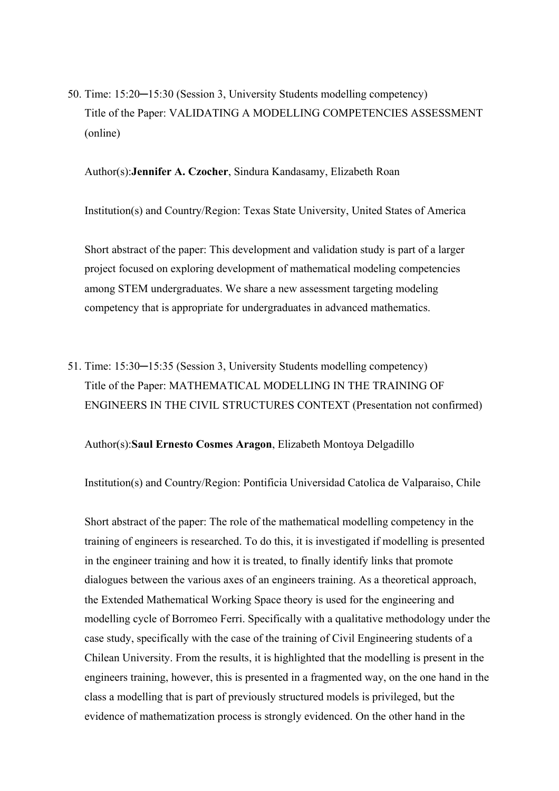50. Time: 15:20─15:30 (Session 3, University Students modelling competency) Title of the Paper: VALIDATING A MODELLING COMPETENCIES ASSESSMENT (online)

Author(s):**Jennifer A. Czocher**, Sindura Kandasamy, Elizabeth Roan

Institution(s) and Country/Region: Texas State University, United States of America

Short abstract of the paper: This development and validation study is part of a larger project focused on exploring development of mathematical modeling competencies among STEM undergraduates. We share a new assessment targeting modeling competency that is appropriate for undergraduates in advanced mathematics.

51. Time: 15:30─15:35 (Session 3, University Students modelling competency) Title of the Paper: MATHEMATICAL MODELLING IN THE TRAINING OF ENGINEERS IN THE CIVIL STRUCTURES CONTEXT (Presentation not confirmed)

Author(s):**Saul Ernesto Cosmes Aragon**, Elizabeth Montoya Delgadillo

Institution(s) and Country/Region: Pontificia Universidad Catolica de Valparaiso, Chile

Short abstract of the paper: The role of the mathematical modelling competency in the training of engineers is researched. To do this, it is investigated if modelling is presented in the engineer training and how it is treated, to finally identify links that promote dialogues between the various axes of an engineers training. As a theoretical approach, the Extended Mathematical Working Space theory is used for the engineering and modelling cycle of Borromeo Ferri. Specifically with a qualitative methodology under the case study, specifically with the case of the training of Civil Engineering students of a Chilean University. From the results, it is highlighted that the modelling is present in the engineers training, however, this is presented in a fragmented way, on the one hand in the class a modelling that is part of previously structured models is privileged, but the evidence of mathematization process is strongly evidenced. On the other hand in the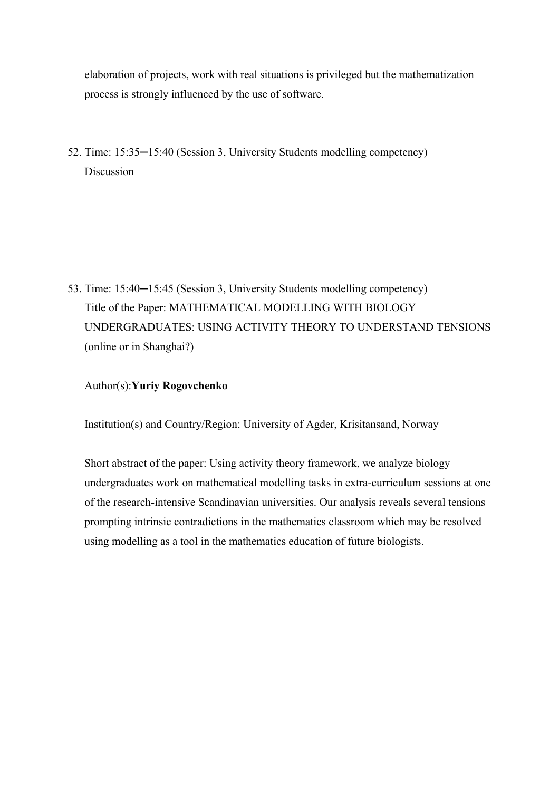elaboration of projects, work with real situations is privileged but the mathematization process is strongly influenced by the use of software.

52. Time: 15:35─15:40 (Session 3, University Students modelling competency) Discussion

53. Time: 15:40─15:45 (Session 3, University Students modelling competency) Title of the Paper: MATHEMATICAL MODELLING WITH BIOLOGY UNDERGRADUATES: USING ACTIVITY THEORY TO UNDERSTAND TENSIONS (online or in Shanghai?)

### Author(s):**Yuriy Rogovchenko**

Institution(s) and Country/Region: University of Agder, Krisitansand, Norway

Short abstract of the paper: Using activity theory framework, we analyze biology undergraduates work on mathematical modelling tasks in extra-curriculum sessions at one of the research-intensive Scandinavian universities. Our analysis reveals several tensions prompting intrinsic contradictions in the mathematics classroom which may be resolved using modelling as a tool in the mathematics education of future biologists.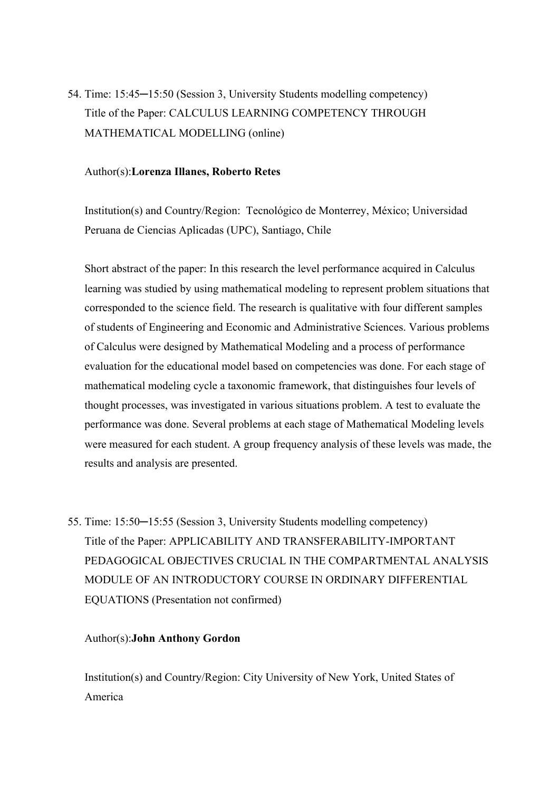54. Time: 15:45─15:50 (Session 3, University Students modelling competency) Title of the Paper: CALCULUS LEARNING COMPETENCY THROUGH MATHEMATICAL MODELLING (online)

#### Author(s):**Lorenza Illanes, Roberto Retes**

Institution(s) and Country/Region: Tecnológico de Monterrey, México; Universidad Peruana de Ciencias Aplicadas (UPC), Santiago, Chile

Short abstract of the paper: In this research the level performance acquired in Calculus learning was studied by using mathematical modeling to represent problem situations that corresponded to the science field. The research is qualitative with four different samples of students of Engineering and Economic and Administrative Sciences. Various problems of Calculus were designed by Mathematical Modeling and a process of performance evaluation for the educational model based on competencies was done. For each stage of mathematical modeling cycle a taxonomic framework, that distinguishes four levels of thought processes, was investigated in various situations problem. A test to evaluate the performance was done. Several problems at each stage of Mathematical Modeling levels were measured for each student. A group frequency analysis of these levels was made, the results and analysis are presented.

55. Time: 15:50─15:55 (Session 3, University Students modelling competency) Title of the Paper: APPLICABILITY AND TRANSFERABILITY-IMPORTANT PEDAGOGICAL OBJECTIVES CRUCIAL IN THE COMPARTMENTAL ANALYSIS MODULE OF AN INTRODUCTORY COURSE IN ORDINARY DIFFERENTIAL EQUATIONS (Presentation not confirmed)

### Author(s):**John Anthony Gordon**

Institution(s) and Country/Region: City University of New York, United States of America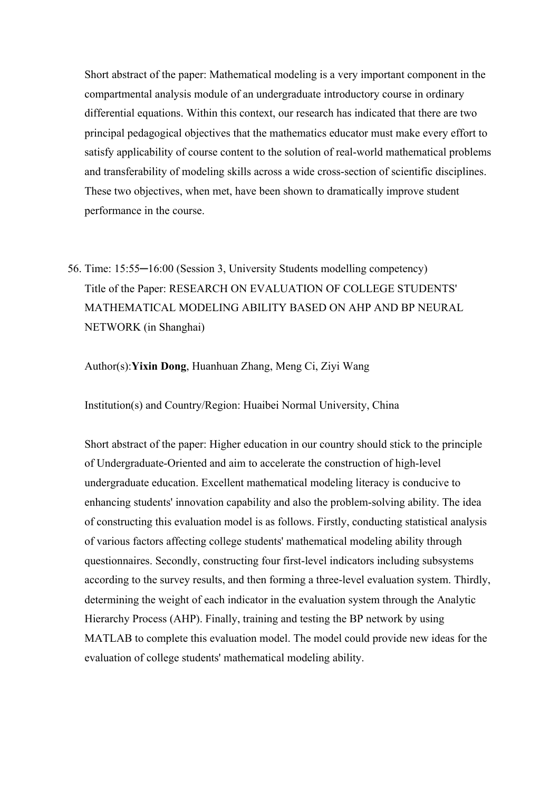Short abstract of the paper: Mathematical modeling is a very important component in the compartmental analysis module of an undergraduate introductory course in ordinary differential equations. Within this context, our research has indicated that there are two principal pedagogical objectives that the mathematics educator must make every effort to satisfy applicability of course content to the solution of real-world mathematical problems and transferability of modeling skills across a wide cross-section of scientific disciplines. These two objectives, when met, have been shown to dramatically improve student performance in the course.

56. Time: 15:55─16:00 (Session 3, University Students modelling competency) Title of the Paper: RESEARCH ON EVALUATION OF COLLEGE STUDENTS' MATHEMATICAL MODELING ABILITY BASED ON AHP AND BP NEURAL NETWORK (in Shanghai)

Author(s):**Yixin Dong**, Huanhuan Zhang, Meng Ci, Ziyi Wang

Institution(s) and Country/Region: Huaibei Normal University, China

Short abstract of the paper: Higher education in our country should stick to the principle of Undergraduate-Oriented and aim to accelerate the construction of high-level undergraduate education. Excellent mathematical modeling literacy is conducive to enhancing students' innovation capability and also the problem-solving ability. The idea of constructing this evaluation model is as follows. Firstly, conducting statistical analysis of various factors affecting college students' mathematical modeling ability through questionnaires. Secondly, constructing four first-level indicators including subsystems according to the survey results, and then forming a three-level evaluation system. Thirdly, determining the weight of each indicator in the evaluation system through the Analytic Hierarchy Process (AHP). Finally, training and testing the BP network by using MATLAB to complete this evaluation model. The model could provide new ideas for the evaluation of college students' mathematical modeling ability.